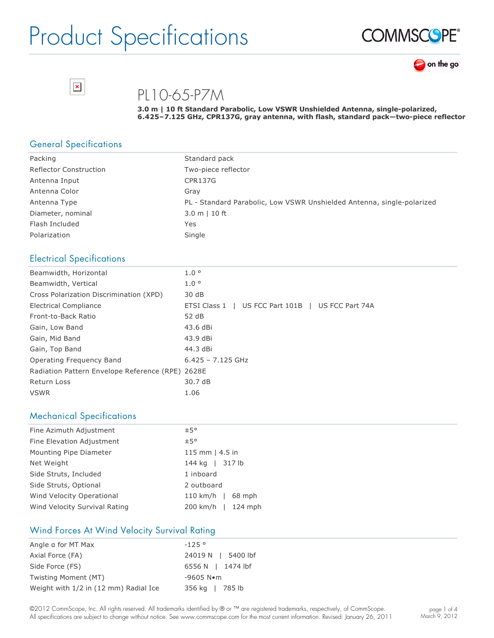



PL10-65-P7M

**3.0 m | 10 ft Standard Parabolic, Low VSWR Unshielded Antenna, singlepolarized, 6.425–7.125 GHz, CPR137G, gray antenna, with flash, standard pack—twopiece reflector**

### General Specifications

 $\pmb{\times}$ 

| Packing                       | Standard pack                                                          |
|-------------------------------|------------------------------------------------------------------------|
| <b>Reflector Construction</b> | Two-piece reflector                                                    |
| Antenna Input                 | CPR137G                                                                |
| Antenna Color                 | Grav                                                                   |
| Antenna Type                  | PL - Standard Parabolic, Low VSWR Unshielded Antenna, single-polarized |
| Diameter, nominal             | $3.0 m$   10 ft                                                        |
| Flash Included                | Yes                                                                    |
| Polarization                  | Single                                                                 |

### Electrical Specifications

| Beamwidth, Horizontal                            | 1.0 <sup>o</sup>                                  |
|--------------------------------------------------|---------------------------------------------------|
| Beamwidth, Vertical                              | 1.0 <sup>o</sup>                                  |
| Cross Polarization Discrimination (XPD)          | 30 dB                                             |
| <b>Electrical Compliance</b>                     | ETSI Class 1   US FCC Part 101B   US FCC Part 74A |
| Front-to-Back Ratio                              | 52 dB                                             |
| Gain, Low Band                                   | 43.6 dBi                                          |
| Gain, Mid Band                                   | 43.9 dBi                                          |
| Gain, Top Band                                   | 44.3 dBi                                          |
| Operating Frequency Band                         | $6.425 - 7.125$ GHz                               |
| Radiation Pattern Envelope Reference (RPE) 2628E |                                                   |
| Return Loss                                      | 30.7 dB                                           |
| <b>VSWR</b>                                      | 1.06                                              |

### Mechanical Specifications

| Fine Azimuth Adjustment       | ±5°                    |  |  |  |
|-------------------------------|------------------------|--|--|--|
| Fine Elevation Adjustment     | ±5°                    |  |  |  |
| Mounting Pipe Diameter        | 115 mm $ $ 4.5 in      |  |  |  |
| Net Weight                    | 144 kg   317 lb        |  |  |  |
| Side Struts, Included         | 1 inboard              |  |  |  |
| Side Struts, Optional         | 2 outboard             |  |  |  |
| Wind Velocity Operational     | $110$ km/h  <br>68 mph |  |  |  |
| Wind Velocity Survival Rating | 200 km/h   124 mph     |  |  |  |

### Wind Forces At Wind Velocity Survival Rating

| Angle a for MT Max                    | $-125°$               |
|---------------------------------------|-----------------------|
| Axial Force (FA)                      | 24019 N   5400 lbf    |
| Side Force (FS)                       | 6556 N   1474 lbf     |
| Twisting Moment (MT)                  | $-9605$ N $\bullet$ m |
| Weight with 1/2 in (12 mm) Radial Ice | 356 kg   785 lb       |

©2012 CommScope, Inc. All rights reserved. All trademarks identified by ® or ™ are registered trademarks, respectively, of CommScope. All specifications are subject to change without notice. See www.commscope.com for the most current information. Revised: January 26, 2011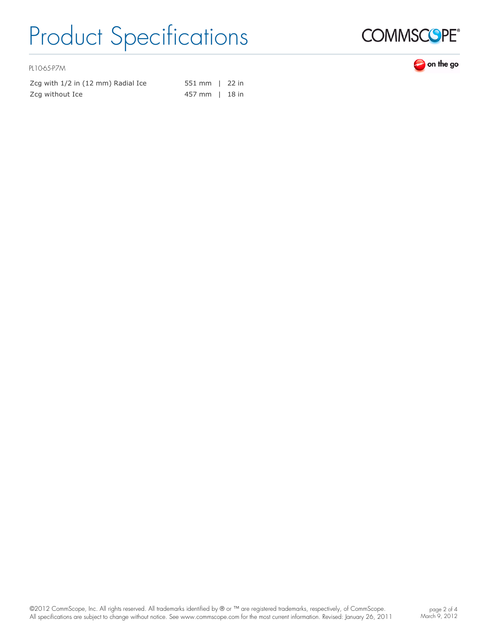

PL10-65-P7M

| Zcg with 1/2 in (12 mm) Radial Ice | 551 mm   22 in |  |
|------------------------------------|----------------|--|
| Zcg without Ice                    | 457 mm 1 18 in |  |

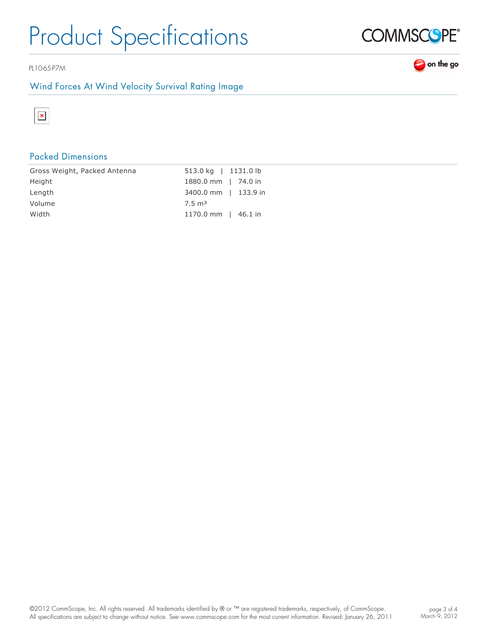PL10-65-P7M

### Wind Forces At Wind Velocity Survival Rating Image



## Packed Dimensions

| Gross Weight, Packed Antenna | 513.0 kg   1131.0 lb      |
|------------------------------|---------------------------|
| Height                       | 1880.0 mm   74.0 in       |
| Length                       | 3400.0 mm   133.9 in      |
| Volume                       | $7.5 \text{ m}^3$         |
| Width                        | 1170.0 mm $\vert$ 46.1 in |